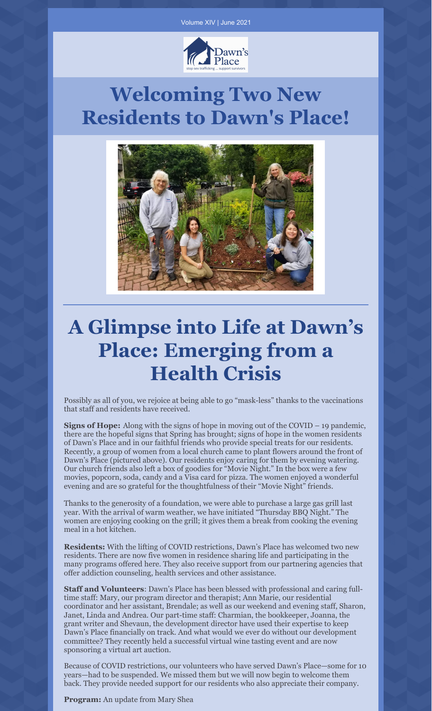

# **Welcoming Two New Residents to Dawn's Place!**



# **A Glimpse into Life at Dawn's Place: Emerging from a Health Crisis**

Possibly as all of you, we rejoice at being able to go "mask-less" thanks to the vaccinations that staff and residents have received.

**Signs of Hope:** Along with the signs of hope in moving out of the COVID – 19 pandemic, there are the hopeful signs that Spring has brought; signs of hope in the women residents of Dawn's Place and in our faithful friends who provide special treats for our residents. Recently, a group of women from a local church came to plant flowers around the front of Dawn's Place (pictured above). Our residents enjoy caring for them by evening watering. Our church friends also left a box of goodies for "Movie Night." In the box were a few movies, popcorn, soda, candy and a Visa card for pizza. The women enjoyed a wonderful evening and are so grateful for the thoughtfulness of their "Movie Night" friends.

Thanks to the generosity of a foundation, we were able to purchase a large gas grill last year. With the arrival of warm weather, we have initiated "Thursday BBQ Night." The women are enjoying cooking on the grill; it gives them a break from cooking the evening meal in a hot kitchen.

**Residents:** With the lifting of COVID restrictions, Dawn's Place has welcomed two new residents. There are now five women in residence sharing life and participating in the many programs offered here. They also receive support from our partnering agencies that offer addiction counseling, health services and other assistance.

**Staff and Volunteers**: Dawn's Place has been blessed with professional and caring fulltime staff: Mary, our program director and therapist; Ann Marie, our residential coordinator and her assistant, Brendale; as well as our weekend and evening staff, Sharon, Janet, Linda and Andrea. Our part-time staff: Charmian, the bookkeeper, Joanna, the grant writer and Shevaun, the development director have used their expertise to keep Dawn's Place financially on track. And what would we ever do without our development committee? They recently held a successful virtual wine tasting event and are now sponsoring a virtual art auction.

Because of COVID restrictions, our volunteers who have served Dawn's Place—some for 10 years—had to be suspended. We missed them but we will now begin to welcome them back. They provide needed support for our residents who also appreciate their company.

**Program:** An update from Mary Shea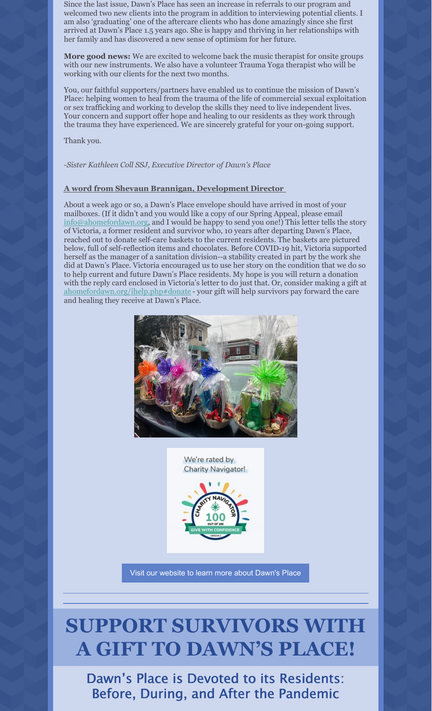Since the last issue, Dawn's Place has seen an increase in referrals to our program and welcomed two new clients into the program in addition to interviewing potential clients. I am also 'graduating' one of the aftercare clients who has done amazingly since she first arrived at Dawn's Place 1.5 years ago. She is happy and thriving in her relationships with her family and has discovered a new sense of optimism for her future.

**More good news:** We are excited to welcome back the music therapist for onsite groups with our new instruments. We also have a volunteer Trauma Yoga therapist who will be working with our clients for the next two months.

You, our faithful supporters/partners have enabled us to continue the mission of Dawn's Place: helping women to heal from the trauma of the life of commercial sexual exploitation or sex trafficking and working to develop the skills they need to live independent lives. Your concern and support offer hope and healing to our residents as they work through the trauma they have experienced. We are sincerely grateful for your on-going support.

Thank you.

*-Sister Kathleen Coll SSJ, Executive Director of Dawn's Place*

#### **A word from Shevaun Brannigan, Development Director**

About a week ago or so, a Dawn's Place envelope should have arrived in most of your mailboxes. (If it didn't and you would like a copy of our Spring Appeal, please email [info@ahomefordawn.org](mailto:info@ahomefordawn.org), and I would be happy to send you one!) This letter tells the story of Victoria, a former resident and survivor who, 10 years after departing Dawn's Place, reached out to donate self-care baskets to the current residents. The baskets are pictured below, full of self-reflection items and chocolates. Before COVID-19 hit, Victoria supported herself as the manager of a sanitation division--a stability created in part by the work she did at Dawn's Place. Victoria encouraged us to use her story on the condition that we do so to help current and future Dawn's Place residents. My hope is you will return a donation with the reply card enclosed in Victoria's letter to do just that. Or, consider making a gift at [ahomefordawn.org/ihelp.php#donate](http://ahomefordawn.org/ihelp.php#donate--your) - your gift will help survivors pay forward the care and healing they receive at Dawn's Place.





Visit our [website](http://ahomefordawn.org) to learn more about Dawn's Place

### **SUPPORT SURVIVORS WITH A GIFT TO DAWN'S PLACE!**

Dawn's Place is Devoted to its Residents: Before, During, and After the Pandemic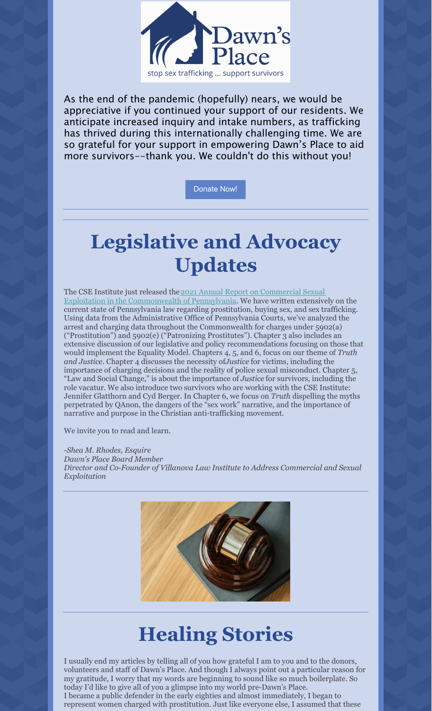

As the end of the pandemic (hopefully) nears, we would be appreciative if you continued your support of our residents. We anticipate increased inquiry and intake numbers, as trafficking has thrived during this internationally challenging time. We are so grateful for your support in empowering Dawn's Place to aid more survivors--thank you. We couldn't do this without you!

[Donate](http://www.ahomefordawn.org) Now!

# **Legislative and Advocacy Updates**

The CSE Institute just released the 2021 Annual Report on Commercial Sexual Exploitation in the [Commonwealth](http://cseinstitute.org/wp-content/uploads/2021/05/Spring-2021-Report-FINAL-pages-1.pdf) of Pennsylvania. We have written extensively on the current state of Pennsylvania law regarding prostitution, buying sex, and sex trafficking. Using data from the Administrative Office of Pennsylvania Courts, we've analyzed the arrest and charging data throughout the Commonwealth for charges under 5902(a) ("Prostitution") and 5902(e) ("Patronizing Prostitutes"). Chapter 3 also includes an extensive discussion of our legislative and policy recommendations focusing on those that would implement the Equality Model. Chapters 4, 5, and 6, focus on our theme of *Truth and Justice*. Chapter 4 discusses the necessity of*Justice* for victims, including the importance of charging decisions and the reality of police sexual misconduct. Chapter 5, "Law and Social Change," is about the importance of *Justice* for survivors, including the role vacatur. We also introduce two survivors who are working with the CSE Institute: Jennifer Glatthorn and Cyd Berger. In Chapter 6, we focus on *Truth* dispelling the myths perpetrated by QAnon, the dangers of the "sex work" narrative, and the importance of narrative and purpose in the Christian anti-trafficking movement.

We invite you to read and learn.

*-Shea M. Rhodes, Esquire*

*Dawn's Place Board Member Director and Co-Founder of Villanova Law Institute to Address Commercial and Sexual Exploitation*



# **Healing Stories**

I usually end my articles by telling all of you how grateful I am to you and to the donors, volunteers and staff of Dawn's Place. And though I always point out a particular reason for my gratitude, I worry that my words are beginning to sound like so much boilerplate. So today I'd like to give all of you a glimpse into my world pre-Dawn's Place. I became a public defender in the early eighties and almost immediately, I began to represent women charged with prostitution. Just like everyone else, I assumed that these